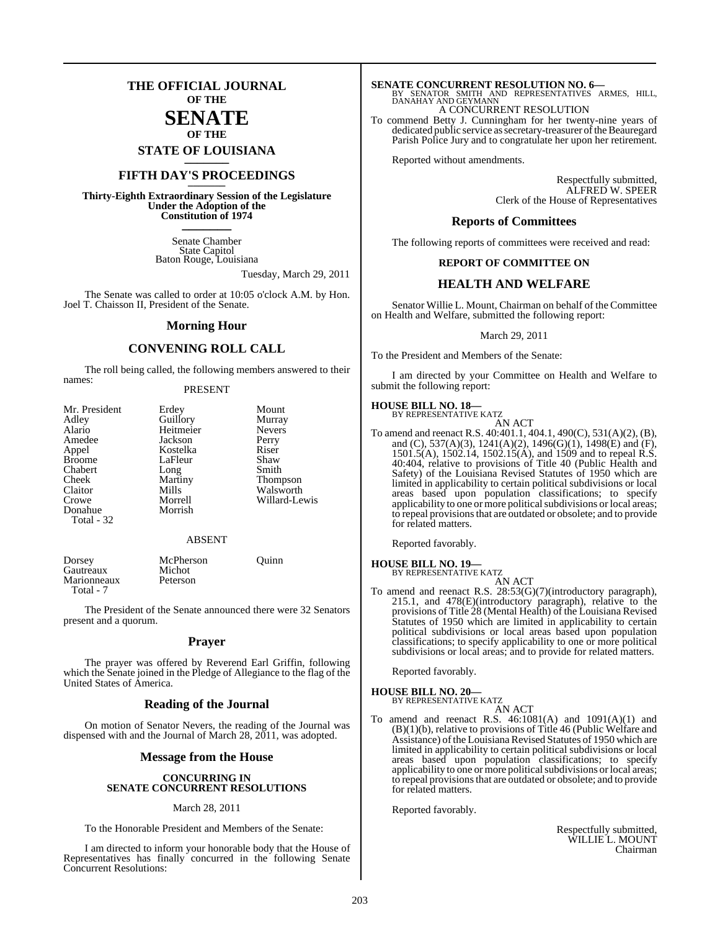### **THE OFFICIAL JOURNAL OF THE**

### **SENATE OF THE**

**STATE OF LOUISIANA \_\_\_\_\_\_\_**

### **FIFTH DAY'S PROCEEDINGS \_\_\_\_\_\_\_**

**Thirty-Eighth Extraordinary Session of the Legislature Under the Adoption of the Constitution of 1974 \_\_\_\_\_\_\_**

> Senate Chamber State Capitol Baton Rouge, Louisiana

> > Tuesday, March 29, 2011

The Senate was called to order at 10:05 o'clock A.M. by Hon. Joel T. Chaisson II, President of the Senate.

#### **Morning Hour**

#### **CONVENING ROLL CALL**

The roll being called, the following members answered to their names:

#### PRESENT

| Mr. President | Erdey     | Mount           |
|---------------|-----------|-----------------|
| Adley         | Guillory  | Murray          |
| Alario        | Heitmeier | <b>Nevers</b>   |
| Amedee        | Jackson   | Perry           |
| Appel         | Kostelka  | Riser           |
| <b>Broome</b> | LaFleur   | Shaw            |
| Chabert       | Long      | Smith           |
| Cheek         | Martiny   | <b>Thompson</b> |
| Claitor       | Mills     | Walsworth       |
| Crowe         | Morrell   | Willard-Lewis   |
| Donahue       | Morrish   |                 |
| Total - 32    |           |                 |
|               |           |                 |

#### ABSENT

| Dorsey<br>Gautreaux      | McPherson<br>Michot | Ouinn |
|--------------------------|---------------------|-------|
| Marionneaux<br>Total - 7 | Peterson            |       |

The President of the Senate announced there were 32 Senators present and a quorum.

#### **Prayer**

The prayer was offered by Reverend Earl Griffin, following which the Senate joined in the Pledge of Allegiance to the flag of the United States of America.

#### **Reading of the Journal**

On motion of Senator Nevers, the reading of the Journal was dispensed with and the Journal of March 28, 2011, was adopted.

#### **Message from the House**

#### **CONCURRING IN SENATE CONCURRENT RESOLUTIONS**

#### March 28, 2011

To the Honorable President and Members of the Senate:

I am directed to inform your honorable body that the House of Representatives has finally concurred in the following Senate Concurrent Resolutions:

## **SENATE CONCURRENT RESOLUTION NO. 6—**<br>BY SENATOR SMITH AND REPRESENTATIVES ARMES, HILL,<br>DANAHAY AND GEYMANN

A CONCURRENT RESOLUTION

To commend Betty J. Cunningham for her twenty-nine years of dedicated public service as secretary-treasurer of the Beauregard Parish Police Jury and to congratulate her upon her retirement.

Reported without amendments.

Respectfully submitted, ALFRED W. SPEER Clerk of the House of Representatives

#### **Reports of Committees**

The following reports of committees were received and read:

#### **REPORT OF COMMITTEE ON**

#### **HEALTH AND WELFARE**

Senator Willie L. Mount, Chairman on behalf of the Committee on Health and Welfare, submitted the following report:

March 29, 2011

To the President and Members of the Senate:

I am directed by your Committee on Health and Welfare to submit the following report:

#### **HOUSE BILL NO. 18—**

BY REPRESENTATIVE KATZ AN ACT

To amend and reenact R.S. 40:401.1, 404.1, 490(C), 531(A)(2), (B), and (C), 537(A)(3), 1241(A)(2), 1496(G)(1), 1498(E) and (F), 1501.5(A), 1502.14, 1502.15(A), and 1509 and to repeal R.S. 40:404, relative to provisions of Title 40 (Public Health and Safety) of the Louisiana Revised Statutes of 1950 which are limited in applicability to certain political subdivisions or local areas based upon population classifications; to specify applicability to one or more political subdivisions or local areas; to repeal provisionsthat are outdated or obsolete; and to provide for related matters.

Reported favorably.

#### **HOUSE BILL NO. 19—** BY REPRESENTATIVE KATZ

AN ACT

To amend and reenact R.S. 28:53(G)(7)(introductory paragraph), 215.1, and 478(E)(introductory paragraph), relative to the provisions of Title 28 (Mental Health) of the Louisiana Revised Statutes of 1950 which are limited in applicability to certain political subdivisions or local areas based upon population classifications; to specify applicability to one or more political subdivisions or local areas; and to provide for related matters.

Reported favorably.

#### **HOUSE BILL NO. 20—**

BY REPRESENTATIVE KATZ AN ACT

To amend and reenact R.S.  $46:1081(A)$  and  $1091(A)(1)$  and (B)(1)(b), relative to provisions of Title 46 (Public Welfare and Assistance) of the Louisiana Revised Statutes of 1950 which are limited in applicability to certain political subdivisions or local areas based upon population classifications; to specify applicability to one or more political subdivisions or local areas; to repeal provisions that are outdated or obsolete; and to provide for related matters.

Reported favorably.

Respectfully submitted, WILLIE L. MOUNT Chairman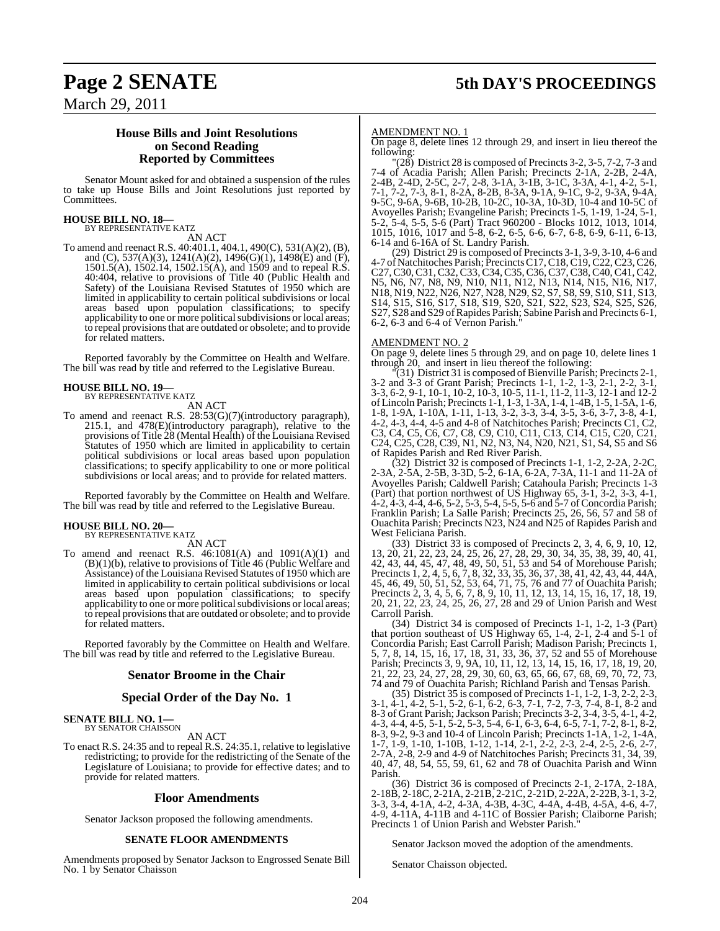### March 29, 2011

#### **House Bills and Joint Resolutions on Second Reading Reported by Committees**

Senator Mount asked for and obtained a suspension of the rules to take up House Bills and Joint Resolutions just reported by Committees.

### **HOUSE BILL NO. 18—** BY REPRESENTATIVE KATZ

AN ACT

To amend and reenact R.S. 40:401.1, 404.1, 490(C), 531(A)(2), (B), and (C), 537(A)(3), 1241(A)(2), 1496(G)(1), 1498(E) and (F), 1501.5(A), 1502.14, 1502.15(A), and 1509 and to repeal R.S. 40:404, relative to provisions of Title 40 (Public Health and Safety) of the Louisiana Revised Statutes of 1950 which are limited in applicability to certain political subdivisions or local areas based upon population classifications; to specify applicability to one or more political subdivisions or local areas; to repeal provisionsthat are outdated or obsolete; and to provide for related matters.

Reported favorably by the Committee on Health and Welfare. The bill was read by title and referred to the Legislative Bureau.

### **HOUSE BILL NO. 19—** BY REPRESENTATIVE KATZ

AN ACT

To amend and reenact R.S. 28:53(G)(7)(introductory paragraph), 215.1, and 478(E)(introductory paragraph), relative to the provisions of Title 28 (Mental Health) of the Louisiana Revised Statutes of 1950 which are limited in applicability to certain political subdivisions or local areas based upon population classifications; to specify applicability to one or more political subdivisions or local areas; and to provide for related matters.

Reported favorably by the Committee on Health and Welfare. The bill was read by title and referred to the Legislative Bureau.

### **HOUSE BILL NO. 20—** BY REPRESENTATIVE KATZ

AN ACT

To amend and reenact R.S.  $46:1081(A)$  and  $1091(A)(1)$  and (B)(1)(b), relative to provisions of Title 46 (Public Welfare and Assistance) of the Louisiana Revised Statutes of 1950 which are limited in applicability to certain political subdivisions or local areas based upon population classifications; to specify applicability to one or more political subdivisions or local areas; to repeal provisionsthat are outdated or obsolete; and to provide for related matters.

Reported favorably by the Committee on Health and Welfare. The bill was read by title and referred to the Legislative Bureau.

#### **Senator Broome in the Chair**

#### **Special Order of the Day No. 1**

#### **SENATE BILL NO. 1—** BY SENATOR CHAISSON

AN ACT

To enact R.S. 24:35 and to repeal R.S. 24:35.1, relative to legislative redistricting; to provide for the redistricting of the Senate of the Legislature of Louisiana; to provide for effective dates; and to provide for related matters.

#### **Floor Amendments**

Senator Jackson proposed the following amendments.

#### **SENATE FLOOR AMENDMENTS**

Amendments proposed by Senator Jackson to Engrossed Senate Bill No. 1 by Senator Chaisson

#### AMENDMENT NO. 1

On page 8, delete lines 12 through 29, and insert in lieu thereof the following:

 $\Gamma(28)$  District 28 is composed of Precincts 3-2, 3-5, 7-2, 7-3 and 7-4 of Acadia Parish; Allen Parish; Precincts 2-1A, 2-2B, 2-4A, 2-4B, 2-4D, 2-5C, 2-7, 2-8, 3-1A, 3-1B, 3-1C, 3-3A, 4-1, 4-2, 5-1, 7-1, 7-2, 7-3, 8-1, 8-2A, 8-2B, 8-3A, 9-1A, 9-1C, 9-2, 9-3A, 9-4A, 9-5C, 9-6A, 9-6B, 10-2B, 10-2C, 10-3A, 10-3D, 10-4 and 10-5C of Avoyelles Parish; Evangeline Parish; Precincts 1-5, 1-19, 1-24, 5-1, 5-2, 5-4, 5-5, 5-6 (Part) Tract 960200 - Blocks 1012, 1013, 1014, 1015, 1016, 1017 and 5-8, 6-2, 6-5, 6-6, 6-7, 6-8, 6-9, 6-11, 6-13, 6-14 and 6-16A of St. Landry Parish.

(29) District 29 is composed of Precincts 3-1, 3-9, 3-10, 4-6 and 4-7 of Natchitoches Parish; Precincts C17, C18, C19, C22, C23, C26, C27,C30,C31,C32,C33,C34,C35,C36,C37,C38,C40,C41,C42, N5, N6, N7, N8, N9, N10, N11, N12, N13, N14, N15, N16, N17, N18, N19, N22, N26, N27, N28, N29, S2, S7, S8, S9, S10, S11, S13, S14, S15, S16, S17, S18, S19, S20, S21, S22, S23, S24, S25, S26, S27, S28 and S29 of Rapides Parish; Sabine Parish and Precincts 6-1, 6-2, 6-3 and 6-4 of Vernon Parish."

#### AMENDMENT NO. 2

 $\frac{74.44}{20}$  on page 9, delete lines 5 through 29, and on page 10, delete lines 1 through 20, and insert in lieu thereof the following:

"(31) District 31 is composed of Bienville Parish; Precincts 2-1, 3-2 and 3-3 of Grant Parish; Precincts 1-1, 1-2, 1-3, 2-1, 2-2, 3-1, 3-3, 6-2, 9-1, 10-1, 10-2, 10-3, 10-5, 11-1, 11-2, 11-3, 12-1 and 12-2 ofLincoln Parish; Precincts 1-1, 1-3, 1-3A, 1-4, 1-4B, 1-5, 1-5A, 1-6, 1-8, 1-9A, 1-10A, 1-11, 1-13, 3-2, 3-3, 3-4, 3-5, 3-6, 3-7, 3-8, 4-1, 4-2, 4-3, 4-4, 4-5 and 4-8 of Natchitoches Parish; Precincts C1, C2, C3, C4, C5, C6, C7, C8, C9, C10, C11, C13, C14, C15, C20, C21, C24, C25, C28, C39, N1, N2, N3, N4, N20, N21, S1, S4, S5 and S6 of Rapides Parish and Red River Parish.

(32) District 32 is composed of Precincts 1-1, 1-2, 2-2A, 2-2C, 2-3A, 2-5A, 2-5B, 3-3D, 5-2, 6-1A, 6-2A, 7-3A, 11-1 and 11-2A of Avoyelles Parish; Caldwell Parish; Catahoula Parish; Precincts 1-3 (Part) that portion northwest of US Highway 65, 3-1, 3-2, 3-3, 4-1, 4-2, 4-3, 4-4, 4-6, 5-2, 5-3, 5-4, 5-5, 5-6 and 5-7 ofConcordia Parish; Franklin Parish; La Salle Parish; Precincts 25, 26, 56, 57 and 58 of Ouachita Parish; Precincts N23, N24 and N25 of Rapides Parish and West Feliciana Parish.

(33) District 33 is composed of Precincts 2, 3, 4, 6, 9, 10, 12, 13, 20, 21, 22, 23, 24, 25, 26, 27, 28, 29, 30, 34, 35, 38, 39, 40, 41, 42, 43, 44, 45, 47, 48, 49, 50, 51, 53 and 54 of Morehouse Parish; Precincts 1, 2, 4, 5, 6, 7, 8, 32, 33, 35, 36, 37, 38, 41, 42, 43, 44, 44A, 45, 46, 49, 50, 51, 52, 53, 64, 71, 75, 76 and 77 of Ouachita Parish; Precincts 2, 3, 4, 5, 6, 7, 8, 9, 10, 11, 12, 13, 14, 15, 16, 17, 18, 19, 20, 21, 22, 23, 24, 25, 26, 27, 28 and 29 of Union Parish and West Carroll Parish.

(34) District 34 is composed of Precincts 1-1, 1-2, 1-3 (Part) that portion southeast of US Highway 65, 1-4, 2-1, 2-4 and 5-1 of Concordia Parish; East Carroll Parish; Madison Parish; Precincts 1, 5, 7, 8, 14, 15, 16, 17, 18, 31, 33, 36, 37, 52 and 55 of Morehouse Parish; Precincts 3, 9, 9A, 10, 11, 12, 13, 14, 15, 16, 17, 18, 19, 20, 21, 22, 23, 24, 27, 28, 29, 30, 60, 63, 65, 66, 67, 68, 69, 70, 72, 73, 74 and 79 of Ouachita Parish; Richland Parish and Tensas Parish.

(35) District 35 is composed of Precincts 1-1, 1-2, 1-3, 2-2, 2-3, 3-1, 4-1, 4-2, 5-1, 5-2, 6-1, 6-2, 6-3, 7-1, 7-2, 7-3, 7-4, 8-1, 8-2 and 8-3 of Grant Parish; Jackson Parish; Precincts 3-2, 3-4, 3-5, 4-1, 4-2, 4-3, 4-4, 4-5, 5-1, 5-2, 5-3, 5-4, 6-1, 6-3, 6-4, 6-5, 7-1, 7-2, 8-1, 8-2, 8-3, 9-2, 9-3 and 10-4 of Lincoln Parish; Precincts 1-1A, 1-2, 1-4A, 1-7, 1-9, 1-10, 1-10B, 1-12, 1-14, 2-1, 2-2, 2-3, 2-4, 2-5, 2-6, 2-7, 2-7A, 2-8, 2-9 and 4-9 of Natchitoches Parish; Precincts 31, 34, 39, 40, 47, 48, 54, 55, 59, 61, 62 and 78 of Ouachita Parish and Winn Parish.

(36) District 36 is composed of Precincts 2-1, 2-17A, 2-18A, 2-18B, 2-18C, 2-21A, 2-21B, 2-21C, 2-21D, 2-22A, 2-22B, 3-1, 3-2, 3-3, 3-4, 4-1A, 4-2, 4-3A, 4-3B, 4-3C, 4-4A, 4-4B, 4-5A, 4-6, 4-7, 4-9, 4-11A, 4-11B and 4-11C of Bossier Parish; Claiborne Parish; Precincts 1 of Union Parish and Webster Parish."

Senator Jackson moved the adoption of the amendments.

Senator Chaisson objected.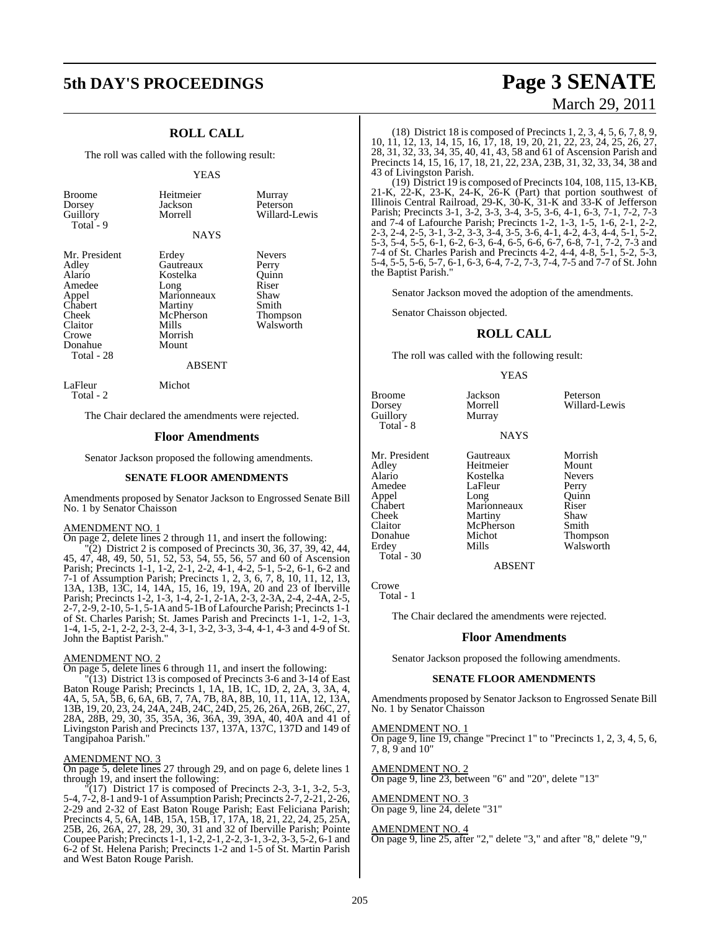### **5th DAY'S PROCEEDINGS Page 3 SENATE**

#### **ROLL CALL**

The roll was called with the following result:

#### YEAS

| <b>Broome</b> |  |
|---------------|--|
| Dorsey        |  |
| Guillory      |  |
| Total - 9     |  |
|               |  |

Heitmeier Murray<br>Jackson Peterso Peterson Morrell Willard-Lewis

Walsworth

#### **NAYS**

| Mr. Presidei |
|--------------|
| Adley        |
| Alario       |
| Amedee       |
| Appel        |
| Chabert      |
| Cheek        |
| Claitor      |
| Crowe        |
| Donahue      |
| Total - 28   |
|              |

nt Erdey Nevers<br>Gautreaux Perry Gautreaux Perry<br>Kostelka Quinn Kostelka Quinn<br>Long Riser Long Riser<br>Marionneaux Shaw Marionneaux Shaw<br>Martiny Smith Martiny Smith<br>
McPherson Thompson McPherson<br>Mills Morrish Mount

#### ABSENT

LaFleur Michot Total - 2

The Chair declared the amendments were rejected.

#### **Floor Amendments**

Senator Jackson proposed the following amendments.

#### **SENATE FLOOR AMENDMENTS**

Amendments proposed by Senator Jackson to Engrossed Senate Bill No. 1 by Senator Chaisson

#### AMENDMENT NO. 1

On page 2, delete lines 2 through 11, and insert the following:

 $(2)$  District 2 is composed of Precincts 30, 36, 37, 39, 42, 44, 45, 47, 48, 49, 50, 51, 52, 53, 54, 55, 56, 57 and 60 of Ascension Parish; Precincts 1-1, 1-2, 2-1, 2-2, 4-1, 4-2, 5-1, 5-2, 6-1, 6-2 and 7-1 of Assumption Parish; Precincts 1, 2, 3, 6, 7, 8, 10, 11, 12, 13, 13A, 13B, 13C, 14, 14A, 15, 16, 19, 19A, 20 and 23 of Iberville Parish; Precincts 1-2, 1-3, 1-4, 2-1, 2-1A, 2-3, 2-3A, 2-4, 2-4A, 2-5, 2-7, 2-9, 2-10, 5-1, 5-1A and 5-1B of Lafourche Parish; Precincts 1-1 of St. Charles Parish; St. James Parish and Precincts 1-1, 1-2, 1-3, 1-4, 1-5, 2-1, 2-2, 2-3, 2-4, 3-1, 3-2, 3-3, 3-4, 4-1, 4-3 and 4-9 of St. John the Baptist Parish."

#### AMENDMENT NO. 2

On page 5, delete lines 6 through 11, and insert the following:

"(13) District 13 is composed of Precincts 3-6 and 3-14 of East Baton Rouge Parish; Precincts 1, 1A, 1B, 1C, 1D, 2, 2A, 3, 3A, 4, 4A, 5, 5A, 5B, 6, 6A, 6B, 7, 7A, 7B, 8A, 8B, 10, 11, 11A, 12, 13A, 13B, 19, 20, 23, 24, 24A, 24B, 24C, 24D, 25, 26, 26A, 26B, 26C, 27, 28A, 28B, 29, 30, 35, 35A, 36, 36A, 39, 39A, 40, 40A and 41 of Livingston Parish and Precincts 137, 137A, 137C, 137D and 149 of Tangipahoa Parish."

#### AMENDMENT NO. 3

On page 5, delete lines 27 through 29, and on page 6, delete lines 1 through 19, and insert the following:

 $\sqrt{\ }$  (17) District 17 is composed of Precincts 2-3, 3-1, 3-2, 5-3, 5-4, 7-2, 8-1 and 9-1 of Assumption Parish; Precincts 2-7, 2-21, 2-26, 2-29 and 2-32 of East Baton Rouge Parish; East Feliciana Parish; Precincts 4, 5, 6A, 14B, 15A, 15B, 17, 17A, 18, 21, 22, 24, 25, 25A, 25B, 26, 26A, 27, 28, 29, 30, 31 and 32 of Iberville Parish; Pointe Coupee Parish; Precincts 1-1, 1-2, 2-1, 2-2, 3-1, 3-2, 3-3, 5-2, 6-1 and 6-2 of St. Helena Parish; Precincts 1-2 and 1-5 of St. Martin Parish and West Baton Rouge Parish.

# March 29, 2011

(18) District 18 is composed of Precincts 1, 2, 3, 4, 5, 6, 7, 8, 9, 10, 11, 12, 13, 14, 15, 16, 17, 18, 19, 20, 21, 22, 23, 24, 25, 26, 27, 28, 31, 32, 33, 34, 35, 40, 41, 43, 58 and 61 of Ascension Parish and Precincts 14, 15, 16, 17, 18, 21, 22, 23A, 23B, 31, 32, 33, 34, 38 and 43 of Livingston Parish.

(19) District 19 is composed of Precincts 104, 108, 115, 13-KB, 21-K, 22-K, 23-K, 24-K, 26-K (Part) that portion southwest of Illinois Central Railroad, 29-K, 30-K, 31-K and 33-K of Jefferson Parish; Precincts 3-1, 3-2, 3-3, 3-4, 3-5, 3-6, 4-1, 6-3, 7-1, 7-2, 7-3 and 7-4 of Lafourche Parish; Precincts 1-2, 1-3, 1-5, 1-6, 2-1, 2-2, 2-3, 2-4, 2-5, 3-1, 3-2, 3-3, 3-4, 3-5, 3-6, 4-1, 4-2, 4-3, 4-4, 5-1, 5-2, 5-3, 5-4, 5-5, 6-1, 6-2, 6-3, 6-4, 6-5, 6-6, 6-7, 6-8, 7-1, 7-2, 7-3 and 7-4 of St. Charles Parish and Precincts 4-2, 4-4, 4-8, 5-1, 5-2, 5-3, 5-4, 5-5, 5-6, 5-7, 6-1, 6-3, 6-4, 7-2, 7-3, 7-4, 7-5 and 7-7 of St. John the Baptist Parish."

Senator Jackson moved the adoption of the amendments.

Senator Chaisson objected.

#### **ROLL CALL**

The roll was called with the following result:

#### YEAS

| Broome<br>Dorsey<br>Guillory<br>Total - 8                                                                                   | Jackson<br>Morrell<br>Murray                                                                                    | Peterson<br>Willard-Lewis                                                                                     |
|-----------------------------------------------------------------------------------------------------------------------------|-----------------------------------------------------------------------------------------------------------------|---------------------------------------------------------------------------------------------------------------|
|                                                                                                                             | <b>NAYS</b>                                                                                                     |                                                                                                               |
| Mr. President<br>Adley<br>Alario<br>Amedee<br>Appel<br>Chabert<br>Cheek<br>Claitor<br>Donahue<br>Erdev<br><b>Total</b> - 30 | Gautreaux<br>Heitmeier<br>Kostelka<br>LaFleur<br>Long<br>Marionneaux<br>Martiny<br>McPherson<br>Michot<br>Mills | Morrish<br>Mount<br><b>Nevers</b><br>Perry<br>Ouinn<br>Riser<br>Shaw<br>Smith<br><b>Thompson</b><br>Walsworth |

ABSENT

Crowe Total - 1

The Chair declared the amendments were rejected.

#### **Floor Amendments**

Senator Jackson proposed the following amendments.

#### **SENATE FLOOR AMENDMENTS**

Amendments proposed by Senator Jackson to Engrossed Senate Bill No. 1 by Senator Chaisson

#### AMENDMENT NO. 1

On page 9, line 19, change "Precinct 1" to "Precincts 1, 2, 3, 4, 5, 6, 7, 8, 9 and 10"

AMENDMENT NO. 2 On page 9, line 23, between "6" and "20", delete "13"

#### AMENDMENT NO. 3 On page 9, line 24, delete "31"

#### AMENDMENT NO. 4

On page 9, line 25, after "2," delete "3," and after "8," delete "9,"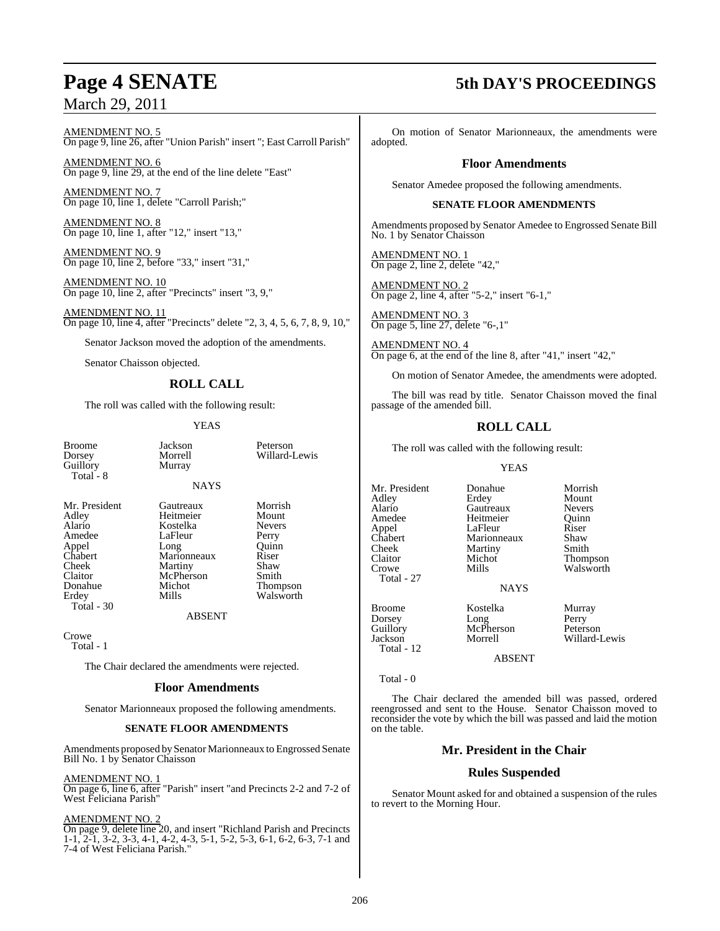### March 29, 2011

AMENDMENT NO. 5 On page 9, line 26, after "Union Parish" insert "; East Carroll Parish"

AMENDMENT NO. 6 On page 9, line 29, at the end of the line delete "East"

AMENDMENT NO. 7 On page 10, line 1, delete "Carroll Parish;"

AMENDMENT NO. 8 On page 10, line 1, after "12," insert "13,"

AMEND<u>MENT NO. 9</u> On page 10, line 2, before "33," insert "31,"

AMENDMENT NO. 10 On page 10, line 2, after "Precincts" insert "3, 9,"

AMENDMENT NO. 11 On page 10, line 4, after "Precincts" delete "2, 3, 4, 5, 6, 7, 8, 9, 10,"

Senator Jackson moved the adoption of the amendments.

Senator Chaisson objected.

#### **ROLL CALL**

The roll was called with the following result:

#### YEAS

NAYS

Broome Jackson Peterson<br>Dorsey Morrell Willard-J Guillory Total - 8

Alario Kostelka Never<br>Amedee LaFleur Perry Chabert Marionneaux Riser Claitor McPherson<br>Donahue Michot Donahue Michot Thompson<br>
Erdey Mills Walsworth Total - 30

Morrell Willard-Lewis<br>Murray

Mr. President Gautreaux Morrish<br>
Adley Heitmeier Mount Heitmeier Mount<br>Kostelka Nevers Amedee LaFleur Perry<br>
Appel Long Quinn Appel Long Quinn Cheek Martiny Shaw<br>Claitor McPherson Smith Walsworth

**ABSENT** 

Crowe

Total - 1

The Chair declared the amendments were rejected.

#### **Floor Amendments**

Senator Marionneaux proposed the following amendments.

#### **SENATE FLOOR AMENDMENTS**

Amendments proposed bySenator Marionneaux to Engrossed Senate Bill No. 1 by Senator Chaisson

#### AMENDMENT NO. 1

On page 6, line 6, after "Parish" insert "and Precincts 2-2 and 7-2 of West Feliciana Parish"

#### AMENDMENT NO. 2

On page 9, delete line 20, and insert "Richland Parish and Precincts 1-1, 2-1, 3-2, 3-3, 4-1, 4-2, 4-3, 5-1, 5-2, 5-3, 6-1, 6-2, 6-3, 7-1 and 7-4 of West Feliciana Parish."

### **Page 4 SENATE 5th DAY'S PROCEEDINGS**

On motion of Senator Marionneaux, the amendments were adopted.

#### **Floor Amendments**

Senator Amedee proposed the following amendments.

#### **SENATE FLOOR AMENDMENTS**

Amendments proposed by Senator Amedee to Engrossed Senate Bill No. 1 by Senator Chaisson

AMENDMENT NO. 1 On page 2, line 2, delete "42,"

AMENDMENT NO. 2 On page 2, line 4, after "5-2," insert "6-1,"

AMENDMENT NO. 3 On page 5, line 27, delete "6-,1"

AMENDMENT NO. 4 On page 6, at the end of the line 8, after "41," insert "42,"

On motion of Senator Amedee, the amendments were adopted.

The bill was read by title. Senator Chaisson moved the final passage of the amended bill.

### **ROLL CALL**

The roll was called with the following result:

YEAS

Mr. President Donahue Morrish<br>Adley Erdev Mount Adley Erdey Mount<br>
Alario Gautreaux Nevers Alario Gautreaux Nevers Appel LaFleur Riser<br>
Chabert Marionneaux Shaw Chabert Marionneaux Shaw<br>Cheek Martiny Smith Cheek Martiny<br>Claitor Michot Claitor Michot Thompson<br>Crowe Mills Walsworth Total - 27

Heitmeier Quinn<br>LaFleur Riser Walsworth

NAYS

Dorsey Long Perry Guillory McPherson Peterson Jackson Morrell Willard-Lewis Total - 12

Broome Kostelka Murray<br>Dorsey Long Perry

ABSENT

Total - 0

The Chair declared the amended bill was passed, ordered reengrossed and sent to the House. Senator Chaisson moved to reconsider the vote by which the bill was passed and laid the motion on the table.

#### **Mr. President in the Chair**

### **Rules Suspended**

Senator Mount asked for and obtained a suspension of the rules to revert to the Morning Hour.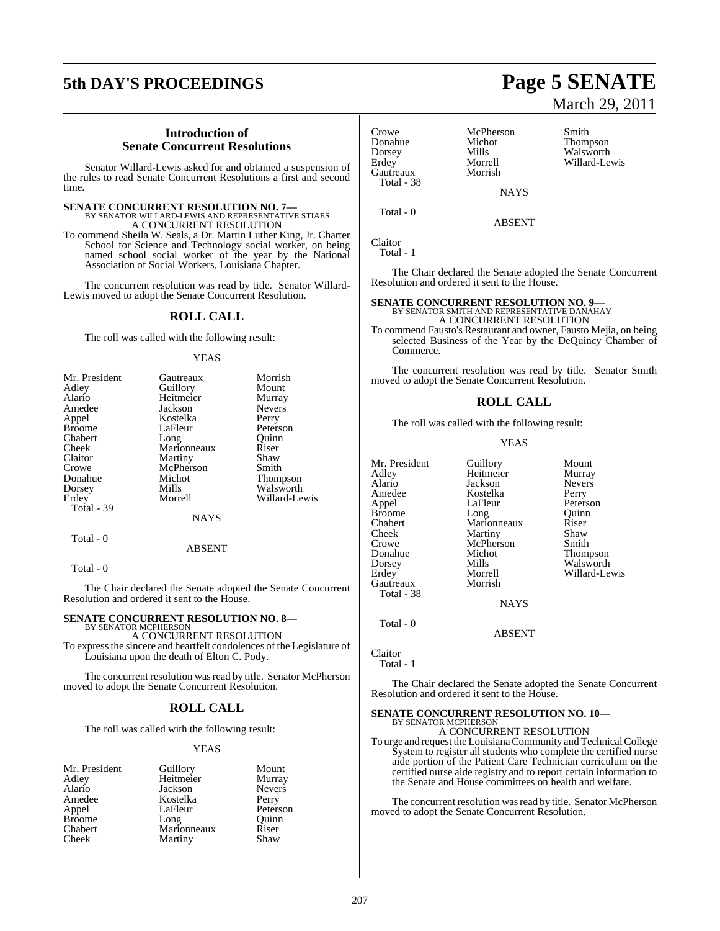## **5th DAY'S PROCEEDINGS Page 5 SENATE**

#### **Introduction of Senate Concurrent Resolutions**

Senator Willard-Lewis asked for and obtained a suspension of the rules to read Senate Concurrent Resolutions a first and second time.

# **SENATE CONCURRENT RESOLUTION NO. 7—**<br>BY SENATOR WILLARD-LEWIS AND REPRESENTATIVE STIAES A CONCURRENT RESOLUTION

To commend Sheila W. Seals, a Dr. Martin Luther King, Jr. Charter School for Science and Technology social worker, on being named school social worker of the year by the National Association of Social Workers, Louisiana Chapter.

The concurrent resolution was read by title. Senator Willard-Lewis moved to adopt the Senate Concurrent Resolution.

#### **ROLL CALL**

The roll was called with the following result:

#### YEAS

| Mr. President | Gautreaux      | Morrish       |
|---------------|----------------|---------------|
| Adley         | Guillory       | Mount         |
| Alario        | Heitmeier      | Murray        |
| Amedee        | Jackson        | <b>Nevers</b> |
| Appel         | Kostelka       | Perry         |
| <b>Broome</b> | LaFleur        | Peterson      |
| Chabert       | Long           | Ouinn         |
| Cheek         | Marionneaux    | Riser         |
| Claitor       | <b>Martiny</b> | Shaw          |
| Crowe         | McPherson      | Smith         |
| Donahue       | Michot         | Thompson      |
| Dorsey        | Mills          | Walsworth     |
| Erdey         | Morrell        | Willard-Lewis |
| Total - 39    |                |               |
|               | NAYS           |               |

Total - 0

#### ABSENT

Total - 0

The Chair declared the Senate adopted the Senate Concurrent Resolution and ordered it sent to the House.

### **SENATE CONCURRENT RESOLUTION NO. 8—** BY SENATOR MCPHERSON

A CONCURRENT RESOLUTION To expressthe sincere and heartfelt condolences of the Legislature of Louisiana upon the death of Elton C. Pody.

The concurrent resolution was read by title. Senator McPherson moved to adopt the Senate Concurrent Resolution.

#### **ROLL CALL**

The roll was called with the following result:

#### YEAS

| Mr. President | Guillory    | Mount         |
|---------------|-------------|---------------|
| Adley         | Heitmeier   | Murray        |
| Alario        | Jackson     | <b>Nevers</b> |
| Amedee        | Kostelka    | Perry         |
| Appel         | LaFleur     | Peterson      |
| <b>Broome</b> | Long        | Ouinn         |
| Chabert       | Marionneaux | Riser         |
| Cheek         | Martiny     | Shaw          |

Crowe McPherson Smith<br>
Donahue Michot Thom Donahue Michot Thompson Dorsey Mills Walsworth Gautreaux Total - 38

Morrell Willard-Lewis<br>Morrish

**NAYS** 

ABSENT

Claitor Total - 1

Total - 0

The Chair declared the Senate adopted the Senate Concurrent Resolution and ordered it sent to the House.

### **SENATE CONCURRENT RESOLUTION NO. 9—** BY SENATOR SMITH AND REPRESENTATIVE DANAHAY

A CONCURRENT RESOLUTION

To commend Fausto's Restaurant and owner, Fausto Mejia, on being selected Business of the Year by the DeQuincy Chamber of Commerce.

The concurrent resolution was read by title. Senator Smith moved to adopt the Senate Concurrent Resolution.

#### **ROLL CALL**

The roll was called with the following result:

#### YEAS

Mr. President Guillory Mount<br>Adley Heitmeier Murray Adley Heitmeier Murray Alario Jackson Nevers Amedee Kostelka<br>Appel LaFleur Broome Long Quinr<br>
Chabert Marionneaux Riser Chabert Marionneaux Riser Cheek Martiny Shaw<br>Crowe McPherson Smith Crowe McPherson<br>Donahue Michot Donahue Michot Thompson Gautreaux Total - 38

Peterson<br>Quinn Dorsey Mills Walsworth<br>Brdey Morrell Willard-Le Morrell Willard-Lewis<br>Morrish

**NAYS** 

ABSENT

Claitor

Total - 1

Total - 0

The Chair declared the Senate adopted the Senate Concurrent Resolution and ordered it sent to the House.

#### **SENATE CONCURRENT RESOLUTION NO. 10—** BY SENATOR MCPHERSON

A CONCURRENT RESOLUTION To urge and request the LouisianaCommunity and TechnicalCollege System to register all students who complete the certified nurse aide portion of the Patient Care Technician curriculum on the certified nurse aide registry and to report certain information to the Senate and House committees on health and welfare.

The concurrent resolution was read by title. Senator McPherson moved to adopt the Senate Concurrent Resolution.

# March 29, 2011